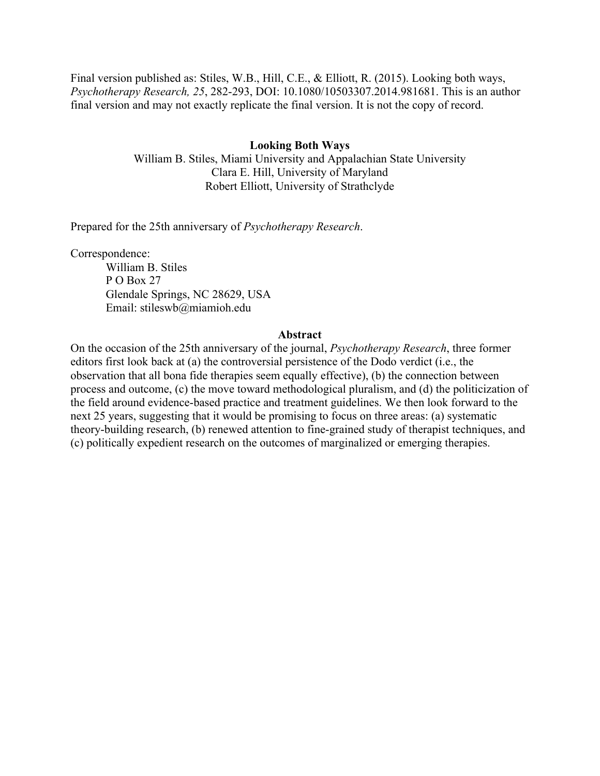Final version published as: Stiles, W.B., Hill, C.E., & Elliott, R. (2015). Looking both ways, *Psychotherapy Research, 25*, 282-293, DOI: 10.1080/10503307.2014.981681. This is an author final version and may not exactly replicate the final version. It is not the copy of record.

# **Looking Both Ways**

William B. Stiles, Miami University and Appalachian State University Clara E. Hill, University of Maryland Robert Elliott, University of Strathclyde

Prepared for the 25th anniversary of *Psychotherapy Research*.

Correspondence:

William B. Stiles P O Box 27 Glendale Springs, NC 28629, USA Email: stileswb@miamioh.edu

#### **Abstract**

On the occasion of the 25th anniversary of the journal, *Psychotherapy Research*, three former editors first look back at (a) the controversial persistence of the Dodo verdict (i.e., the observation that all bona fide therapies seem equally effective), (b) the connection between process and outcome, (c) the move toward methodological pluralism, and (d) the politicization of the field around evidence-based practice and treatment guidelines. We then look forward to the next 25 years, suggesting that it would be promising to focus on three areas: (a) systematic theory-building research, (b) renewed attention to fine-grained study of therapist techniques, and (c) politically expedient research on the outcomes of marginalized or emerging therapies.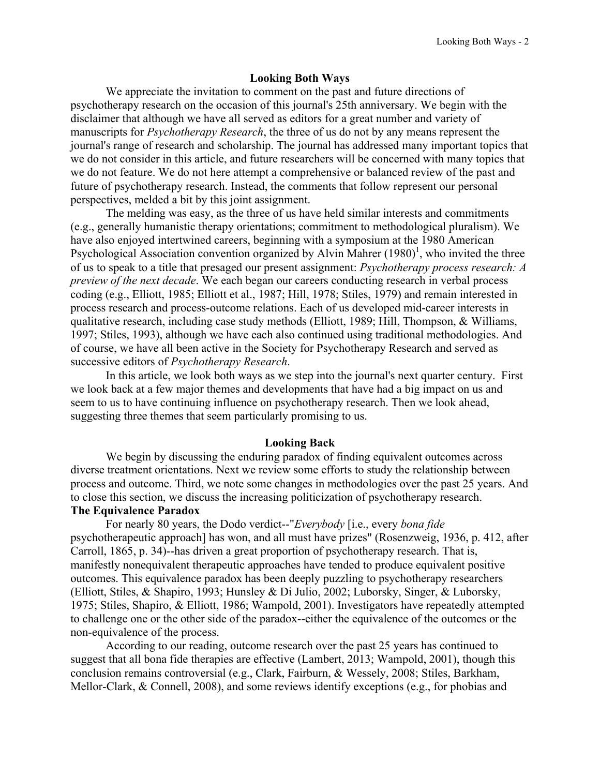## **Looking Both Ways**

We appreciate the invitation to comment on the past and future directions of psychotherapy research on the occasion of this journal's 25th anniversary. We begin with the disclaimer that although we have all served as editors for a great number and variety of manuscripts for *Psychotherapy Research*, the three of us do not by any means represent the journal's range of research and scholarship. The journal has addressed many important topics that we do not consider in this article, and future researchers will be concerned with many topics that we do not feature. We do not here attempt a comprehensive or balanced review of the past and future of psychotherapy research. Instead, the comments that follow represent our personal perspectives, melded a bit by this joint assignment.

The melding was easy, as the three of us have held similar interests and commitments (e.g., generally humanistic therapy orientations; commitment to methodological pluralism). We have also enjoyed intertwined careers, beginning with a symposium at the 1980 American Psychological Association convention organized by Alvin Mahrer  $(1980)^1$ , who invited the three of us to speak to a title that presaged our present assignment: *Psychotherapy process research: A preview of the next decade*. We each began our careers conducting research in verbal process coding (e.g., Elliott, 1985; Elliott et al., 1987; Hill, 1978; Stiles, 1979) and remain interested in process research and process-outcome relations. Each of us developed mid-career interests in qualitative research, including case study methods (Elliott, 1989; Hill, Thompson, & Williams, 1997; Stiles, 1993), although we have each also continued using traditional methodologies. And of course, we have all been active in the Society for Psychotherapy Research and served as successive editors of *Psychotherapy Research*.

In this article, we look both ways as we step into the journal's next quarter century. First we look back at a few major themes and developments that have had a big impact on us and seem to us to have continuing influence on psychotherapy research. Then we look ahead, suggesting three themes that seem particularly promising to us.

## **Looking Back**

We begin by discussing the enduring paradox of finding equivalent outcomes across diverse treatment orientations. Next we review some efforts to study the relationship between process and outcome. Third, we note some changes in methodologies over the past 25 years. And to close this section, we discuss the increasing politicization of psychotherapy research. **The Equivalence Paradox**

For nearly 80 years, the Dodo verdict--"*Everybody* [i.e., every *bona fide* psychotherapeutic approach] has won, and all must have prizes" (Rosenzweig, 1936, p. 412, after Carroll, 1865, p. 34)--has driven a great proportion of psychotherapy research. That is, manifestly nonequivalent therapeutic approaches have tended to produce equivalent positive outcomes. This equivalence paradox has been deeply puzzling to psychotherapy researchers (Elliott, Stiles, & Shapiro, 1993; Hunsley & Di Julio, 2002; Luborsky, Singer, & Luborsky, 1975; Stiles, Shapiro, & Elliott, 1986; Wampold, 2001). Investigators have repeatedly attempted to challenge one or the other side of the paradox--either the equivalence of the outcomes or the non-equivalence of the process.

According to our reading, outcome research over the past 25 years has continued to suggest that all bona fide therapies are effective (Lambert, 2013; Wampold, 2001), though this conclusion remains controversial (e.g., Clark, Fairburn, & Wessely, 2008; Stiles, Barkham, Mellor-Clark, & Connell, 2008), and some reviews identify exceptions (e.g., for phobias and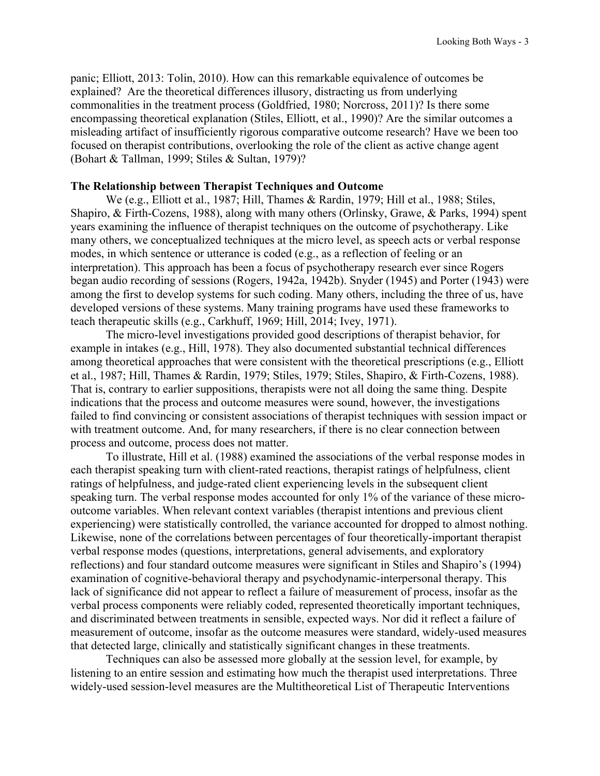panic; Elliott, 2013: Tolin, 2010). How can this remarkable equivalence of outcomes be explained? Are the theoretical differences illusory, distracting us from underlying commonalities in the treatment process (Goldfried, 1980; Norcross, 2011)? Is there some encompassing theoretical explanation (Stiles, Elliott, et al., 1990)? Are the similar outcomes a misleading artifact of insufficiently rigorous comparative outcome research? Have we been too focused on therapist contributions, overlooking the role of the client as active change agent (Bohart & Tallman, 1999; Stiles & Sultan, 1979)?

# **The Relationship between Therapist Techniques and Outcome**

We (e.g., Elliott et al., 1987; Hill, Thames & Rardin, 1979; Hill et al., 1988; Stiles, Shapiro, & Firth-Cozens, 1988), along with many others (Orlinsky, Grawe, & Parks, 1994) spent years examining the influence of therapist techniques on the outcome of psychotherapy. Like many others, we conceptualized techniques at the micro level, as speech acts or verbal response modes, in which sentence or utterance is coded (e.g., as a reflection of feeling or an interpretation). This approach has been a focus of psychotherapy research ever since Rogers began audio recording of sessions (Rogers, 1942a, 1942b). Snyder (1945) and Porter (1943) were among the first to develop systems for such coding. Many others, including the three of us, have developed versions of these systems. Many training programs have used these frameworks to teach therapeutic skills (e.g., Carkhuff, 1969; Hill, 2014; Ivey, 1971).

The micro-level investigations provided good descriptions of therapist behavior, for example in intakes (e.g., Hill, 1978). They also documented substantial technical differences among theoretical approaches that were consistent with the theoretical prescriptions (e.g., Elliott et al., 1987; Hill, Thames & Rardin, 1979; Stiles, 1979; Stiles, Shapiro, & Firth-Cozens, 1988). That is, contrary to earlier suppositions, therapists were not all doing the same thing. Despite indications that the process and outcome measures were sound, however, the investigations failed to find convincing or consistent associations of therapist techniques with session impact or with treatment outcome. And, for many researchers, if there is no clear connection between process and outcome, process does not matter.

To illustrate, Hill et al. (1988) examined the associations of the verbal response modes in each therapist speaking turn with client-rated reactions, therapist ratings of helpfulness, client ratings of helpfulness, and judge-rated client experiencing levels in the subsequent client speaking turn. The verbal response modes accounted for only 1% of the variance of these microoutcome variables. When relevant context variables (therapist intentions and previous client experiencing) were statistically controlled, the variance accounted for dropped to almost nothing. Likewise, none of the correlations between percentages of four theoretically-important therapist verbal response modes (questions, interpretations, general advisements, and exploratory reflections) and four standard outcome measures were significant in Stiles and Shapiro's (1994) examination of cognitive-behavioral therapy and psychodynamic-interpersonal therapy. This lack of significance did not appear to reflect a failure of measurement of process, insofar as the verbal process components were reliably coded, represented theoretically important techniques, and discriminated between treatments in sensible, expected ways. Nor did it reflect a failure of measurement of outcome, insofar as the outcome measures were standard, widely-used measures that detected large, clinically and statistically significant changes in these treatments.

Techniques can also be assessed more globally at the session level, for example, by listening to an entire session and estimating how much the therapist used interpretations. Three widely-used session-level measures are the Multitheoretical List of Therapeutic Interventions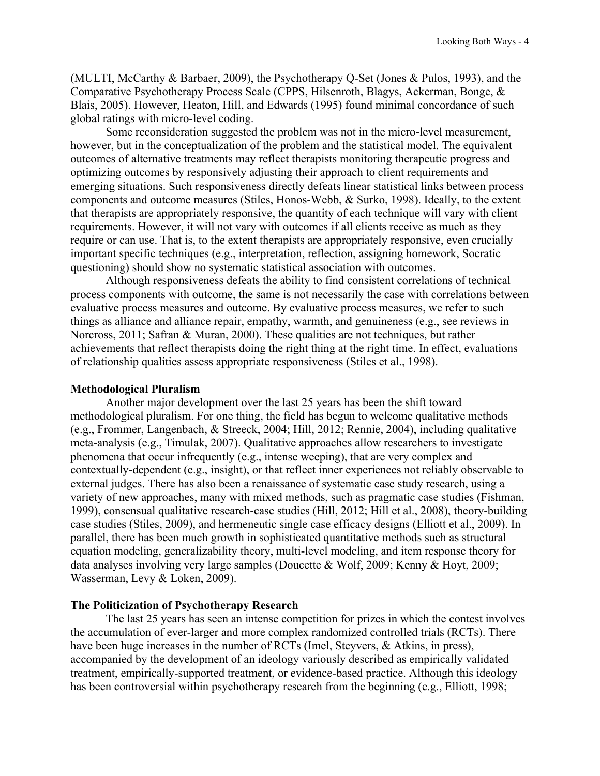(MULTI, McCarthy & Barbaer, 2009), the Psychotherapy Q-Set (Jones & Pulos, 1993), and the Comparative Psychotherapy Process Scale (CPPS, Hilsenroth, Blagys, Ackerman, Bonge, & Blais, 2005). However, Heaton, Hill, and Edwards (1995) found minimal concordance of such global ratings with micro-level coding.

Some reconsideration suggested the problem was not in the micro-level measurement, however, but in the conceptualization of the problem and the statistical model. The equivalent outcomes of alternative treatments may reflect therapists monitoring therapeutic progress and optimizing outcomes by responsively adjusting their approach to client requirements and emerging situations. Such responsiveness directly defeats linear statistical links between process components and outcome measures (Stiles, Honos-Webb, & Surko, 1998). Ideally, to the extent that therapists are appropriately responsive, the quantity of each technique will vary with client requirements. However, it will not vary with outcomes if all clients receive as much as they require or can use. That is, to the extent therapists are appropriately responsive, even crucially important specific techniques (e.g., interpretation, reflection, assigning homework, Socratic questioning) should show no systematic statistical association with outcomes.

Although responsiveness defeats the ability to find consistent correlations of technical process components with outcome, the same is not necessarily the case with correlations between evaluative process measures and outcome. By evaluative process measures, we refer to such things as alliance and alliance repair, empathy, warmth, and genuineness (e.g., see reviews in Norcross, 2011; Safran & Muran, 2000). These qualities are not techniques, but rather achievements that reflect therapists doing the right thing at the right time. In effect, evaluations of relationship qualities assess appropriate responsiveness (Stiles et al., 1998).

## **Methodological Pluralism**

Another major development over the last 25 years has been the shift toward methodological pluralism. For one thing, the field has begun to welcome qualitative methods (e.g., Frommer, Langenbach, & Streeck, 2004; Hill, 2012; Rennie, 2004), including qualitative meta-analysis (e.g., Timulak, 2007). Qualitative approaches allow researchers to investigate phenomena that occur infrequently (e.g., intense weeping), that are very complex and contextually-dependent (e.g., insight), or that reflect inner experiences not reliably observable to external judges. There has also been a renaissance of systematic case study research, using a variety of new approaches, many with mixed methods, such as pragmatic case studies (Fishman, 1999), consensual qualitative research-case studies (Hill, 2012; Hill et al., 2008), theory-building case studies (Stiles, 2009), and hermeneutic single case efficacy designs (Elliott et al., 2009). In parallel, there has been much growth in sophisticated quantitative methods such as structural equation modeling, generalizability theory, multi-level modeling, and item response theory for data analyses involving very large samples (Doucette & Wolf, 2009; Kenny & Hoyt, 2009; Wasserman, Levy & Loken, 2009).

# **The Politicization of Psychotherapy Research**

The last 25 years has seen an intense competition for prizes in which the contest involves the accumulation of ever-larger and more complex randomized controlled trials (RCTs). There have been huge increases in the number of RCTs (Imel, Steyvers, & Atkins, in press), accompanied by the development of an ideology variously described as empirically validated treatment, empirically-supported treatment, or evidence-based practice. Although this ideology has been controversial within psychotherapy research from the beginning (e.g., Elliott, 1998;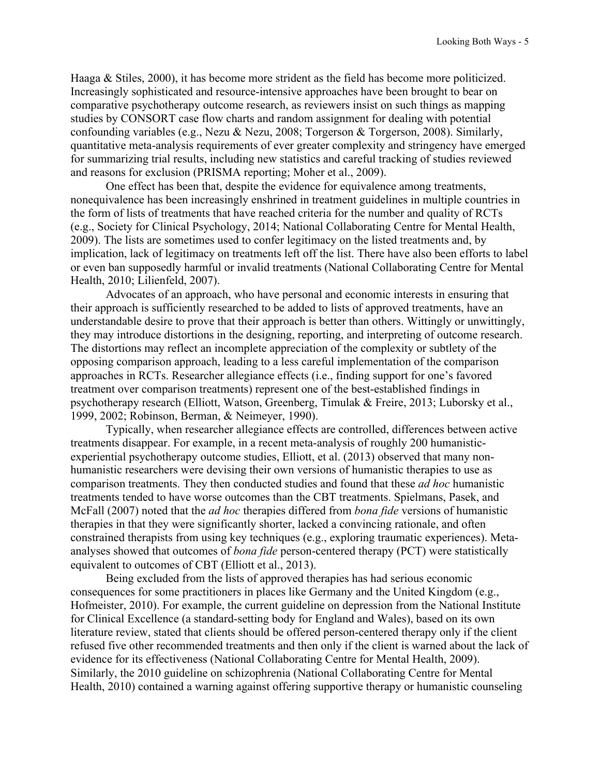Haaga & Stiles, 2000), it has become more strident as the field has become more politicized. Increasingly sophisticated and resource-intensive approaches have been brought to bear on comparative psychotherapy outcome research, as reviewers insist on such things as mapping studies by CONSORT case flow charts and random assignment for dealing with potential confounding variables (e.g., Nezu & Nezu, 2008; Torgerson & Torgerson, 2008). Similarly, quantitative meta-analysis requirements of ever greater complexity and stringency have emerged for summarizing trial results, including new statistics and careful tracking of studies reviewed and reasons for exclusion (PRISMA reporting; Moher et al., 2009).

One effect has been that, despite the evidence for equivalence among treatments, nonequivalence has been increasingly enshrined in treatment guidelines in multiple countries in the form of lists of treatments that have reached criteria for the number and quality of RCTs (e.g., Society for Clinical Psychology, 2014; National Collaborating Centre for Mental Health, 2009). The lists are sometimes used to confer legitimacy on the listed treatments and, by implication, lack of legitimacy on treatments left off the list. There have also been efforts to label or even ban supposedly harmful or invalid treatments (National Collaborating Centre for Mental Health, 2010; Lilienfeld, 2007).

Advocates of an approach, who have personal and economic interests in ensuring that their approach is sufficiently researched to be added to lists of approved treatments, have an understandable desire to prove that their approach is better than others. Wittingly or unwittingly, they may introduce distortions in the designing, reporting, and interpreting of outcome research. The distortions may reflect an incomplete appreciation of the complexity or subtlety of the opposing comparison approach, leading to a less careful implementation of the comparison approaches in RCTs. Researcher allegiance effects (i.e., finding support for one's favored treatment over comparison treatments) represent one of the best-established findings in psychotherapy research (Elliott, Watson, Greenberg, Timulak & Freire, 2013; Luborsky et al., 1999, 2002; Robinson, Berman, & Neimeyer, 1990).

Typically, when researcher allegiance effects are controlled, differences between active treatments disappear. For example, in a recent meta-analysis of roughly 200 humanisticexperiential psychotherapy outcome studies, Elliott, et al. (2013) observed that many nonhumanistic researchers were devising their own versions of humanistic therapies to use as comparison treatments. They then conducted studies and found that these *ad hoc* humanistic treatments tended to have worse outcomes than the CBT treatments. Spielmans, Pasek, and McFall (2007) noted that the *ad hoc* therapies differed from *bona fide* versions of humanistic therapies in that they were significantly shorter, lacked a convincing rationale, and often constrained therapists from using key techniques (e.g., exploring traumatic experiences). Metaanalyses showed that outcomes of *bona fide* person-centered therapy (PCT) were statistically equivalent to outcomes of CBT (Elliott et al., 2013).

Being excluded from the lists of approved therapies has had serious economic consequences for some practitioners in places like Germany and the United Kingdom (e.g., Hofmeister, 2010). For example, the current guideline on depression from the National Institute for Clinical Excellence (a standard-setting body for England and Wales), based on its own literature review, stated that clients should be offered person-centered therapy only if the client refused five other recommended treatments and then only if the client is warned about the lack of evidence for its effectiveness (National Collaborating Centre for Mental Health, 2009). Similarly, the 2010 guideline on schizophrenia (National Collaborating Centre for Mental Health, 2010) contained a warning against offering supportive therapy or humanistic counseling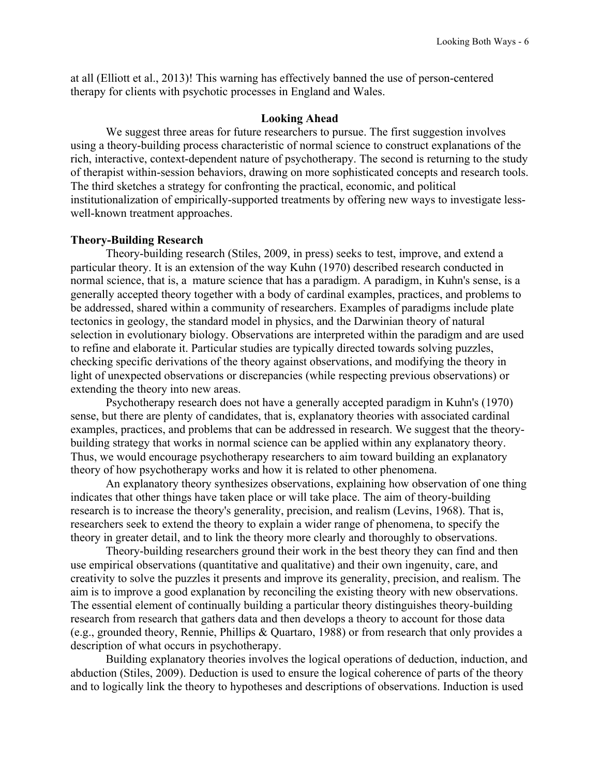at all (Elliott et al., 2013)! This warning has effectively banned the use of person-centered therapy for clients with psychotic processes in England and Wales.

### **Looking Ahead**

We suggest three areas for future researchers to pursue. The first suggestion involves using a theory-building process characteristic of normal science to construct explanations of the rich, interactive, context-dependent nature of psychotherapy. The second is returning to the study of therapist within-session behaviors, drawing on more sophisticated concepts and research tools. The third sketches a strategy for confronting the practical, economic, and political institutionalization of empirically-supported treatments by offering new ways to investigate lesswell-known treatment approaches.

## **Theory-Building Research**

Theory-building research (Stiles, 2009, in press) seeks to test, improve, and extend a particular theory. It is an extension of the way Kuhn (1970) described research conducted in normal science, that is, a mature science that has a paradigm. A paradigm, in Kuhn's sense, is a generally accepted theory together with a body of cardinal examples, practices, and problems to be addressed, shared within a community of researchers. Examples of paradigms include plate tectonics in geology, the standard model in physics, and the Darwinian theory of natural selection in evolutionary biology. Observations are interpreted within the paradigm and are used to refine and elaborate it. Particular studies are typically directed towards solving puzzles, checking specific derivations of the theory against observations, and modifying the theory in light of unexpected observations or discrepancies (while respecting previous observations) or extending the theory into new areas.

Psychotherapy research does not have a generally accepted paradigm in Kuhn's (1970) sense, but there are plenty of candidates, that is, explanatory theories with associated cardinal examples, practices, and problems that can be addressed in research. We suggest that the theorybuilding strategy that works in normal science can be applied within any explanatory theory. Thus, we would encourage psychotherapy researchers to aim toward building an explanatory theory of how psychotherapy works and how it is related to other phenomena.

An explanatory theory synthesizes observations, explaining how observation of one thing indicates that other things have taken place or will take place. The aim of theory-building research is to increase the theory's generality, precision, and realism (Levins, 1968). That is, researchers seek to extend the theory to explain a wider range of phenomena, to specify the theory in greater detail, and to link the theory more clearly and thoroughly to observations.

Theory-building researchers ground their work in the best theory they can find and then use empirical observations (quantitative and qualitative) and their own ingenuity, care, and creativity to solve the puzzles it presents and improve its generality, precision, and realism. The aim is to improve a good explanation by reconciling the existing theory with new observations. The essential element of continually building a particular theory distinguishes theory-building research from research that gathers data and then develops a theory to account for those data (e.g., grounded theory, Rennie, Phillips & Quartaro, 1988) or from research that only provides a description of what occurs in psychotherapy.

Building explanatory theories involves the logical operations of deduction, induction, and abduction (Stiles, 2009). Deduction is used to ensure the logical coherence of parts of the theory and to logically link the theory to hypotheses and descriptions of observations. Induction is used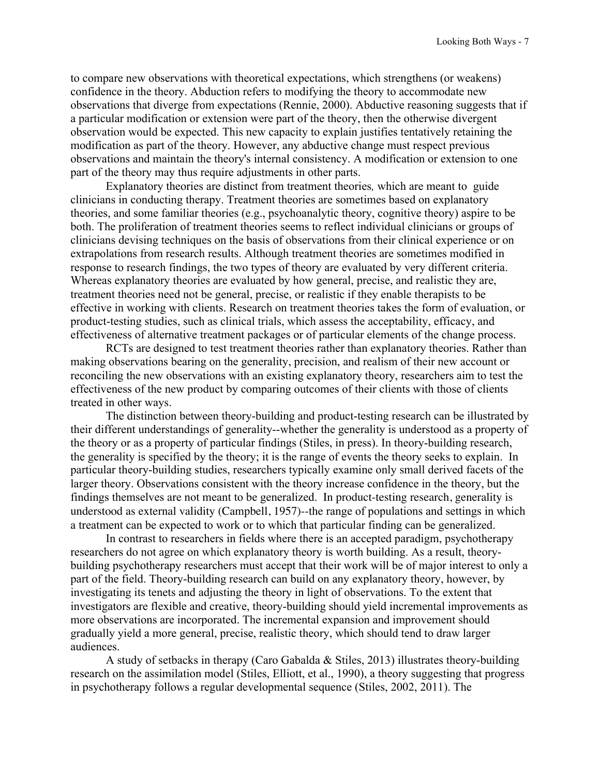to compare new observations with theoretical expectations, which strengthens (or weakens) confidence in the theory. Abduction refers to modifying the theory to accommodate new observations that diverge from expectations (Rennie, 2000). Abductive reasoning suggests that if a particular modification or extension were part of the theory, then the otherwise divergent observation would be expected. This new capacity to explain justifies tentatively retaining the modification as part of the theory. However, any abductive change must respect previous observations and maintain the theory's internal consistency. A modification or extension to one part of the theory may thus require adjustments in other parts.

Explanatory theories are distinct from treatment theories*,* which are meant to guide clinicians in conducting therapy. Treatment theories are sometimes based on explanatory theories, and some familiar theories (e.g., psychoanalytic theory, cognitive theory) aspire to be both. The proliferation of treatment theories seems to reflect individual clinicians or groups of clinicians devising techniques on the basis of observations from their clinical experience or on extrapolations from research results. Although treatment theories are sometimes modified in response to research findings, the two types of theory are evaluated by very different criteria. Whereas explanatory theories are evaluated by how general, precise, and realistic they are, treatment theories need not be general, precise, or realistic if they enable therapists to be effective in working with clients. Research on treatment theories takes the form of evaluation, or product-testing studies, such as clinical trials, which assess the acceptability, efficacy, and effectiveness of alternative treatment packages or of particular elements of the change process.

RCTs are designed to test treatment theories rather than explanatory theories. Rather than making observations bearing on the generality, precision, and realism of their new account or reconciling the new observations with an existing explanatory theory, researchers aim to test the effectiveness of the new product by comparing outcomes of their clients with those of clients treated in other ways.

The distinction between theory-building and product-testing research can be illustrated by their different understandings of generality--whether the generality is understood as a property of the theory or as a property of particular findings (Stiles, in press). In theory-building research, the generality is specified by the theory; it is the range of events the theory seeks to explain. In particular theory-building studies, researchers typically examine only small derived facets of the larger theory. Observations consistent with the theory increase confidence in the theory, but the findings themselves are not meant to be generalized. In product-testing research, generality is understood as external validity (Campbell, 1957)--the range of populations and settings in which a treatment can be expected to work or to which that particular finding can be generalized.

In contrast to researchers in fields where there is an accepted paradigm, psychotherapy researchers do not agree on which explanatory theory is worth building. As a result, theorybuilding psychotherapy researchers must accept that their work will be of major interest to only a part of the field. Theory-building research can build on any explanatory theory, however, by investigating its tenets and adjusting the theory in light of observations. To the extent that investigators are flexible and creative, theory-building should yield incremental improvements as more observations are incorporated. The incremental expansion and improvement should gradually yield a more general, precise, realistic theory, which should tend to draw larger audiences.

A study of setbacks in therapy (Caro Gabalda & Stiles, 2013) illustrates theory-building research on the assimilation model (Stiles, Elliott, et al., 1990), a theory suggesting that progress in psychotherapy follows a regular developmental sequence (Stiles, 2002, 2011). The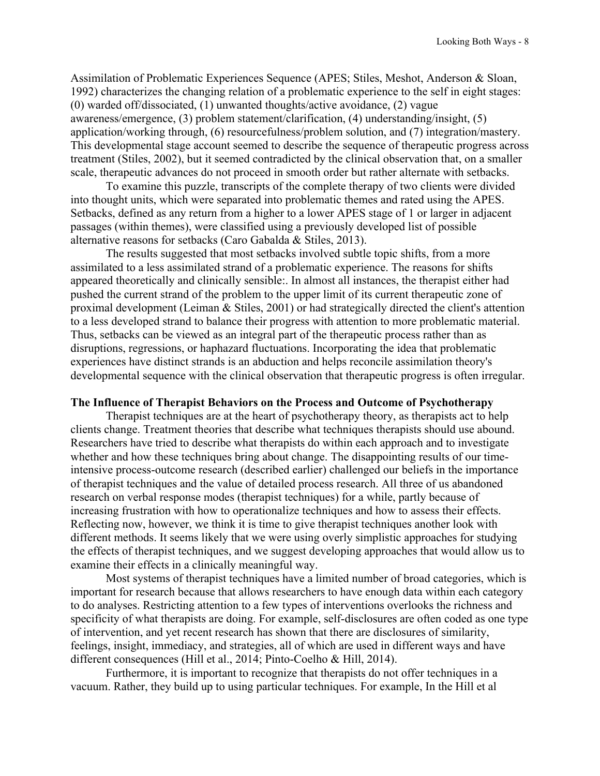Assimilation of Problematic Experiences Sequence (APES; Stiles, Meshot, Anderson & Sloan, 1992) characterizes the changing relation of a problematic experience to the self in eight stages: (0) warded off/dissociated, (1) unwanted thoughts/active avoidance, (2) vague awareness/emergence, (3) problem statement/clarification, (4) understanding/insight, (5) application/working through, (6) resourcefulness/problem solution, and (7) integration/mastery. This developmental stage account seemed to describe the sequence of therapeutic progress across treatment (Stiles, 2002), but it seemed contradicted by the clinical observation that, on a smaller scale, therapeutic advances do not proceed in smooth order but rather alternate with setbacks.

To examine this puzzle, transcripts of the complete therapy of two clients were divided into thought units, which were separated into problematic themes and rated using the APES. Setbacks, defined as any return from a higher to a lower APES stage of 1 or larger in adjacent passages (within themes), were classified using a previously developed list of possible alternative reasons for setbacks (Caro Gabalda & Stiles, 2013).

The results suggested that most setbacks involved subtle topic shifts, from a more assimilated to a less assimilated strand of a problematic experience. The reasons for shifts appeared theoretically and clinically sensible:. In almost all instances, the therapist either had pushed the current strand of the problem to the upper limit of its current therapeutic zone of proximal development (Leiman & Stiles, 2001) or had strategically directed the client's attention to a less developed strand to balance their progress with attention to more problematic material. Thus, setbacks can be viewed as an integral part of the therapeutic process rather than as disruptions, regressions, or haphazard fluctuations. Incorporating the idea that problematic experiences have distinct strands is an abduction and helps reconcile assimilation theory's developmental sequence with the clinical observation that therapeutic progress is often irregular.

#### **The Influence of Therapist Behaviors on the Process and Outcome of Psychotherapy**

Therapist techniques are at the heart of psychotherapy theory, as therapists act to help clients change. Treatment theories that describe what techniques therapists should use abound. Researchers have tried to describe what therapists do within each approach and to investigate whether and how these techniques bring about change. The disappointing results of our timeintensive process-outcome research (described earlier) challenged our beliefs in the importance of therapist techniques and the value of detailed process research. All three of us abandoned research on verbal response modes (therapist techniques) for a while, partly because of increasing frustration with how to operationalize techniques and how to assess their effects. Reflecting now, however, we think it is time to give therapist techniques another look with different methods. It seems likely that we were using overly simplistic approaches for studying the effects of therapist techniques, and we suggest developing approaches that would allow us to examine their effects in a clinically meaningful way.

Most systems of therapist techniques have a limited number of broad categories, which is important for research because that allows researchers to have enough data within each category to do analyses. Restricting attention to a few types of interventions overlooks the richness and specificity of what therapists are doing. For example, self-disclosures are often coded as one type of intervention, and yet recent research has shown that there are disclosures of similarity, feelings, insight, immediacy, and strategies, all of which are used in different ways and have different consequences (Hill et al., 2014; Pinto-Coelho & Hill, 2014).

Furthermore, it is important to recognize that therapists do not offer techniques in a vacuum. Rather, they build up to using particular techniques. For example, In the Hill et al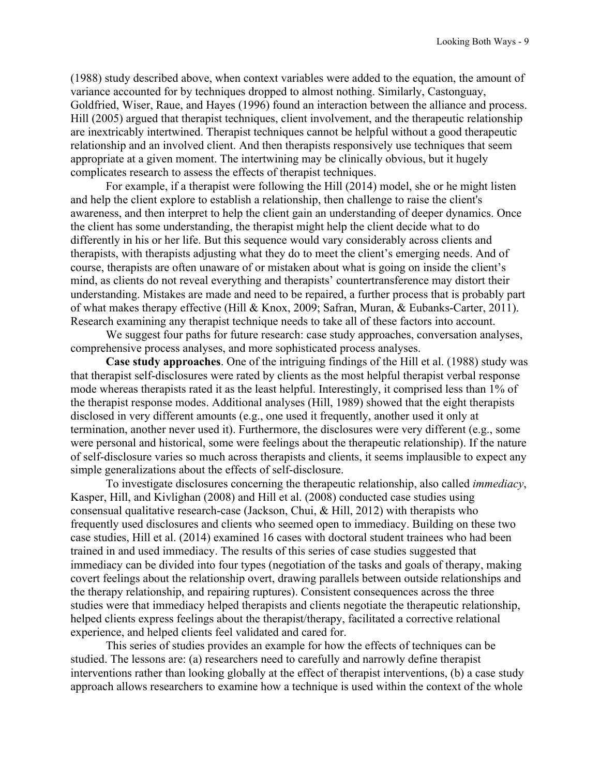(1988) study described above, when context variables were added to the equation, the amount of variance accounted for by techniques dropped to almost nothing. Similarly, Castonguay, Goldfried, Wiser, Raue, and Hayes (1996) found an interaction between the alliance and process. Hill (2005) argued that therapist techniques, client involvement, and the therapeutic relationship are inextricably intertwined. Therapist techniques cannot be helpful without a good therapeutic relationship and an involved client. And then therapists responsively use techniques that seem appropriate at a given moment. The intertwining may be clinically obvious, but it hugely complicates research to assess the effects of therapist techniques.

For example, if a therapist were following the Hill (2014) model, she or he might listen and help the client explore to establish a relationship, then challenge to raise the client's awareness, and then interpret to help the client gain an understanding of deeper dynamics. Once the client has some understanding, the therapist might help the client decide what to do differently in his or her life. But this sequence would vary considerably across clients and therapists, with therapists adjusting what they do to meet the client's emerging needs. And of course, therapists are often unaware of or mistaken about what is going on inside the client's mind, as clients do not reveal everything and therapists' countertransference may distort their understanding. Mistakes are made and need to be repaired, a further process that is probably part of what makes therapy effective (Hill & Knox, 2009; Safran, Muran, & Eubanks-Carter, 2011). Research examining any therapist technique needs to take all of these factors into account.

We suggest four paths for future research: case study approaches, conversation analyses, comprehensive process analyses, and more sophisticated process analyses.

**Case study approaches**. One of the intriguing findings of the Hill et al. (1988) study was that therapist self-disclosures were rated by clients as the most helpful therapist verbal response mode whereas therapists rated it as the least helpful. Interestingly, it comprised less than 1% of the therapist response modes. Additional analyses (Hill, 1989) showed that the eight therapists disclosed in very different amounts (e.g., one used it frequently, another used it only at termination, another never used it). Furthermore, the disclosures were very different (e.g., some were personal and historical, some were feelings about the therapeutic relationship). If the nature of self-disclosure varies so much across therapists and clients, it seems implausible to expect any simple generalizations about the effects of self-disclosure.

To investigate disclosures concerning the therapeutic relationship, also called *immediacy*, Kasper, Hill, and Kivlighan (2008) and Hill et al. (2008) conducted case studies using consensual qualitative research-case (Jackson, Chui, & Hill, 2012) with therapists who frequently used disclosures and clients who seemed open to immediacy. Building on these two case studies, Hill et al. (2014) examined 16 cases with doctoral student trainees who had been trained in and used immediacy. The results of this series of case studies suggested that immediacy can be divided into four types (negotiation of the tasks and goals of therapy, making covert feelings about the relationship overt, drawing parallels between outside relationships and the therapy relationship, and repairing ruptures). Consistent consequences across the three studies were that immediacy helped therapists and clients negotiate the therapeutic relationship, helped clients express feelings about the therapist/therapy, facilitated a corrective relational experience, and helped clients feel validated and cared for.

This series of studies provides an example for how the effects of techniques can be studied. The lessons are: (a) researchers need to carefully and narrowly define therapist interventions rather than looking globally at the effect of therapist interventions, (b) a case study approach allows researchers to examine how a technique is used within the context of the whole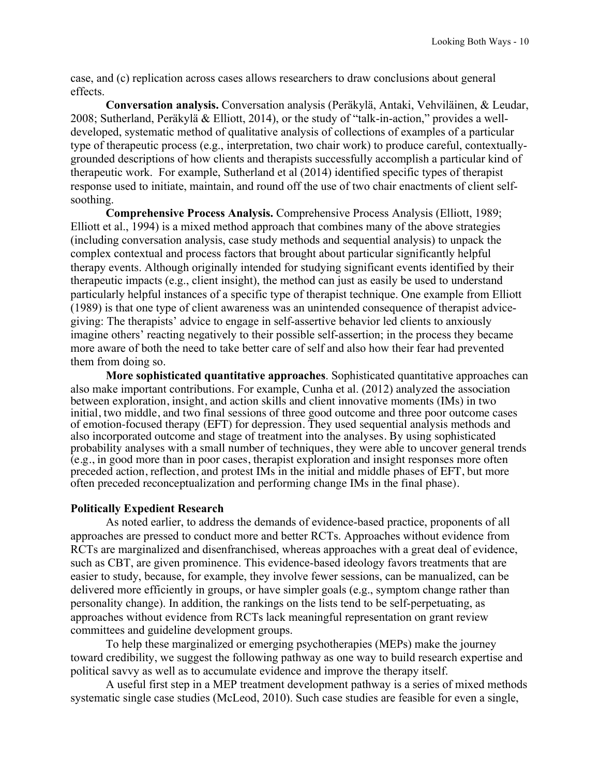case, and (c) replication across cases allows researchers to draw conclusions about general effects.

**Conversation analysis.** Conversation analysis (Peräkylä, Antaki, Vehviläinen, & Leudar, 2008; Sutherland, Peräkylä & Elliott, 2014), or the study of "talk-in-action," provides a welldeveloped, systematic method of qualitative analysis of collections of examples of a particular type of therapeutic process (e.g., interpretation, two chair work) to produce careful, contextuallygrounded descriptions of how clients and therapists successfully accomplish a particular kind of therapeutic work. For example, Sutherland et al (2014) identified specific types of therapist response used to initiate, maintain, and round off the use of two chair enactments of client selfsoothing.

**Comprehensive Process Analysis.** Comprehensive Process Analysis (Elliott, 1989; Elliott et al., 1994) is a mixed method approach that combines many of the above strategies (including conversation analysis, case study methods and sequential analysis) to unpack the complex contextual and process factors that brought about particular significantly helpful therapy events. Although originally intended for studying significant events identified by their therapeutic impacts (e.g., client insight), the method can just as easily be used to understand particularly helpful instances of a specific type of therapist technique. One example from Elliott (1989) is that one type of client awareness was an unintended consequence of therapist advicegiving: The therapists' advice to engage in self-assertive behavior led clients to anxiously imagine others' reacting negatively to their possible self-assertion; in the process they became more aware of both the need to take better care of self and also how their fear had prevented them from doing so.

**More sophisticated quantitative approaches**. Sophisticated quantitative approaches can also make important contributions. For example, Cunha et al. (2012) analyzed the association between exploration, insight, and action skills and client innovative moments (IMs) in two initial, two middle, and two final sessions of three good outcome and three poor outcome cases of emotion-focused therapy (EFT) for depression. They used sequential analysis methods and also incorporated outcome and stage of treatment into the analyses. By using sophisticated probability analyses with a small number of techniques, they were able to uncover general trends (e.g., in good more than in poor cases, therapist exploration and insight responses more often preceded action, reflection, and protest IMs in the initial and middle phases of EFT, but more often preceded reconceptualization and performing change IMs in the final phase).

# **Politically Expedient Research**

As noted earlier, to address the demands of evidence-based practice, proponents of all approaches are pressed to conduct more and better RCTs. Approaches without evidence from RCTs are marginalized and disenfranchised, whereas approaches with a great deal of evidence, such as CBT, are given prominence. This evidence-based ideology favors treatments that are easier to study, because, for example, they involve fewer sessions, can be manualized, can be delivered more efficiently in groups, or have simpler goals (e.g., symptom change rather than personality change). In addition, the rankings on the lists tend to be self-perpetuating, as approaches without evidence from RCTs lack meaningful representation on grant review committees and guideline development groups.

To help these marginalized or emerging psychotherapies (MEPs) make the journey toward credibility, we suggest the following pathway as one way to build research expertise and political savvy as well as to accumulate evidence and improve the therapy itself.

A useful first step in a MEP treatment development pathway is a series of mixed methods systematic single case studies (McLeod, 2010). Such case studies are feasible for even a single,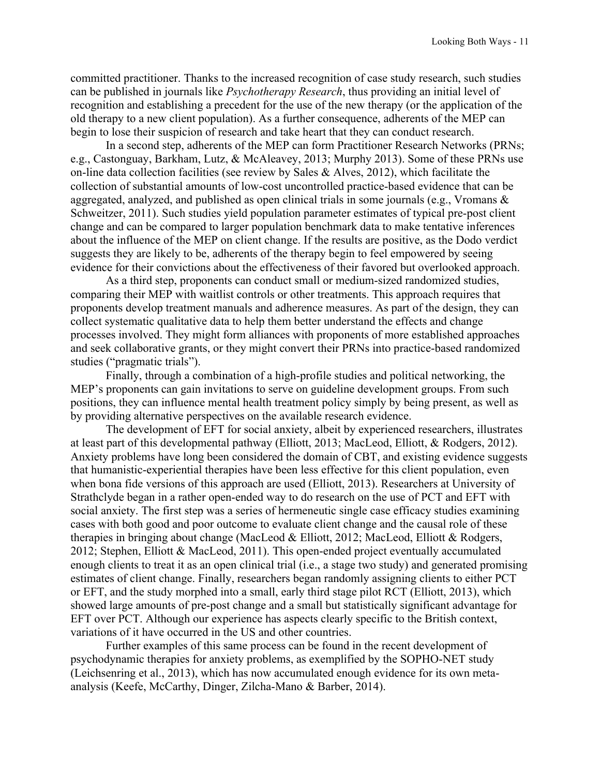committed practitioner. Thanks to the increased recognition of case study research, such studies can be published in journals like *Psychotherapy Research*, thus providing an initial level of recognition and establishing a precedent for the use of the new therapy (or the application of the old therapy to a new client population). As a further consequence, adherents of the MEP can begin to lose their suspicion of research and take heart that they can conduct research.

In a second step, adherents of the MEP can form Practitioner Research Networks (PRNs; e.g., Castonguay, Barkham, Lutz, & McAleavey, 2013; Murphy 2013). Some of these PRNs use on-line data collection facilities (see review by Sales & Alves, 2012), which facilitate the collection of substantial amounts of low-cost uncontrolled practice-based evidence that can be aggregated, analyzed, and published as open clinical trials in some journals (e.g., Vromans & Schweitzer, 2011). Such studies yield population parameter estimates of typical pre-post client change and can be compared to larger population benchmark data to make tentative inferences about the influence of the MEP on client change. If the results are positive, as the Dodo verdict suggests they are likely to be, adherents of the therapy begin to feel empowered by seeing evidence for their convictions about the effectiveness of their favored but overlooked approach.

As a third step, proponents can conduct small or medium-sized randomized studies, comparing their MEP with waitlist controls or other treatments. This approach requires that proponents develop treatment manuals and adherence measures. As part of the design, they can collect systematic qualitative data to help them better understand the effects and change processes involved. They might form alliances with proponents of more established approaches and seek collaborative grants, or they might convert their PRNs into practice-based randomized studies ("pragmatic trials").

Finally, through a combination of a high-profile studies and political networking, the MEP's proponents can gain invitations to serve on guideline development groups. From such positions, they can influence mental health treatment policy simply by being present, as well as by providing alternative perspectives on the available research evidence.

The development of EFT for social anxiety, albeit by experienced researchers, illustrates at least part of this developmental pathway (Elliott, 2013; MacLeod, Elliott, & Rodgers, 2012). Anxiety problems have long been considered the domain of CBT, and existing evidence suggests that humanistic-experiential therapies have been less effective for this client population, even when bona fide versions of this approach are used (Elliott, 2013). Researchers at University of Strathclyde began in a rather open-ended way to do research on the use of PCT and EFT with social anxiety. The first step was a series of hermeneutic single case efficacy studies examining cases with both good and poor outcome to evaluate client change and the causal role of these therapies in bringing about change (MacLeod & Elliott, 2012; MacLeod, Elliott & Rodgers, 2012; Stephen, Elliott & MacLeod, 2011). This open-ended project eventually accumulated enough clients to treat it as an open clinical trial (i.e., a stage two study) and generated promising estimates of client change. Finally, researchers began randomly assigning clients to either PCT or EFT, and the study morphed into a small, early third stage pilot RCT (Elliott, 2013), which showed large amounts of pre-post change and a small but statistically significant advantage for EFT over PCT. Although our experience has aspects clearly specific to the British context, variations of it have occurred in the US and other countries.

Further examples of this same process can be found in the recent development of psychodynamic therapies for anxiety problems, as exemplified by the SOPHO-NET study (Leichsenring et al., 2013), which has now accumulated enough evidence for its own metaanalysis (Keefe, McCarthy, Dinger, Zilcha-Mano & Barber, 2014).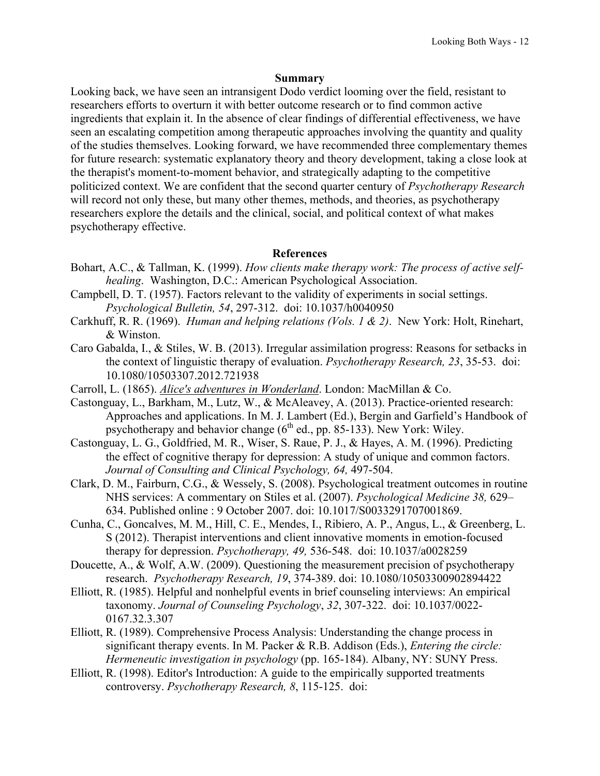## **Summary**

Looking back, we have seen an intransigent Dodo verdict looming over the field, resistant to researchers efforts to overturn it with better outcome research or to find common active ingredients that explain it. In the absence of clear findings of differential effectiveness, we have seen an escalating competition among therapeutic approaches involving the quantity and quality of the studies themselves. Looking forward, we have recommended three complementary themes for future research: systematic explanatory theory and theory development, taking a close look at the therapist's moment-to-moment behavior, and strategically adapting to the competitive politicized context. We are confident that the second quarter century of *Psychotherapy Research* will record not only these, but many other themes, methods, and theories, as psychotherapy researchers explore the details and the clinical, social, and political context of what makes psychotherapy effective.

# **References**

- Bohart, A.C., & Tallman, K. (1999). *How clients make therapy work: The process of active selfhealing*. Washington, D.C.: American Psychological Association.
- Campbell, D. T. (1957). Factors relevant to the validity of experiments in social settings. *Psychological Bulletin, 54*, 297-312. doi: 10.1037/h0040950
- Carkhuff, R. R. (1969). *Human and helping relations (Vols. 1 & 2)*. New York: Holt, Rinehart, & Winston.
- Caro Gabalda, I., & Stiles, W. B. (2013). Irregular assimilation progress: Reasons for setbacks in the context of linguistic therapy of evaluation. *Psychotherapy Research, 23*, 35-53. doi: 10.1080/10503307.2012.721938
- Carroll, L. (1865). *Alice's adventures in Wonderland*. London: MacMillan & Co.
- Castonguay, L., Barkham, M., Lutz, W., & McAleavey, A. (2013). Practice-oriented research: Approaches and applications. In M. J. Lambert (Ed.), Bergin and Garfield's Handbook of psychotherapy and behavior change  $(6^{th}$  ed., pp. 85-133). New York: Wiley.
- Castonguay, L. G., Goldfried, M. R., Wiser, S. Raue, P. J., & Hayes, A. M. (1996). Predicting the effect of cognitive therapy for depression: A study of unique and common factors. *Journal of Consulting and Clinical Psychology, 64,* 497-504.
- Clark, D. M., Fairburn, C.G., & Wessely, S. (2008). Psychological treatment outcomes in routine NHS services: A commentary on Stiles et al. (2007). *Psychological Medicine 38,* 629– 634. Published online : 9 October 2007. doi: 10.1017/S0033291707001869.
- Cunha, C., Goncalves, M. M., Hill, C. E., Mendes, I., Ribiero, A. P., Angus, L., & Greenberg, L. S (2012). Therapist interventions and client innovative moments in emotion-focused therapy for depression. *Psychotherapy, 49,* 536-548. doi: 10.1037/a0028259
- Doucette, A., & Wolf, A.W. (2009). Questioning the measurement precision of psychotherapy research. *Psychotherapy Research, 19*, 374-389. doi: 10.1080/10503300902894422
- Elliott, R. (1985). Helpful and nonhelpful events in brief counseling interviews: An empirical taxonomy. *Journal of Counseling Psychology*, *32*, 307-322. doi: 10.1037/0022- 0167.32.3.307
- Elliott, R. (1989). Comprehensive Process Analysis: Understanding the change process in significant therapy events. In M. Packer & R.B. Addison (Eds.), *Entering the circle: Hermeneutic investigation in psychology* (pp. 165-184). Albany, NY: SUNY Press.
- Elliott, R. (1998). Editor's Introduction: A guide to the empirically supported treatments controversy. *Psychotherapy Research, 8*, 115-125. doi: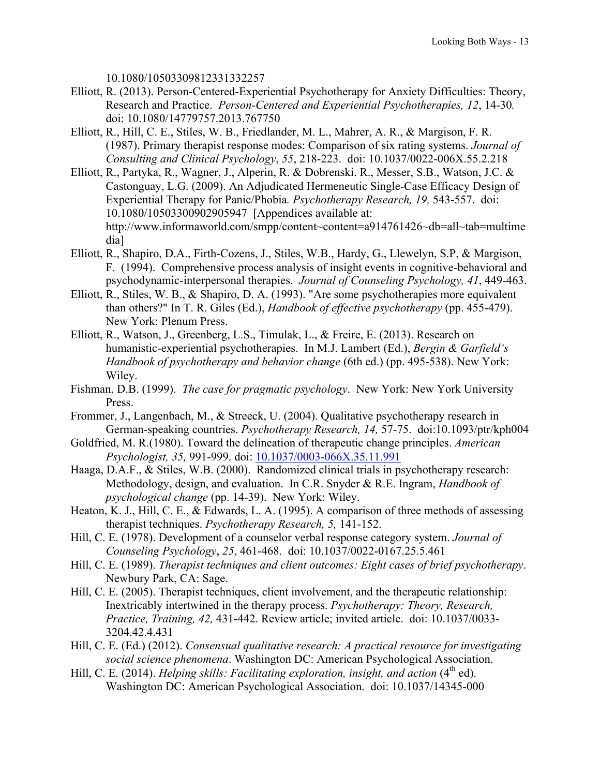10.1080/10503309812331332257

- Elliott, R. (2013). Person-Centered-Experiential Psychotherapy for Anxiety Difficulties: Theory, Research and Practice. *Person-Centered and Experiential Psychotherapies, 12*, 14-30*.*  doi: 10.1080/14779757.2013.767750
- Elliott, R., Hill, C. E., Stiles, W. B., Friedlander, M. L., Mahrer, A. R., & Margison, F. R. (1987). Primary therapist response modes: Comparison of six rating systems. *Journal of Consulting and Clinical Psychology*, *55*, 218-223. doi: 10.1037/0022-006X.55.2.218
- Elliott, R., Partyka, R., Wagner, J., Alperin, R. & Dobrenski. R., Messer, S.B., Watson, J.C. & Castonguay, L.G. (2009). An Adjudicated Hermeneutic Single-Case Efficacy Design of Experiential Therapy for Panic/Phobia*. Psychotherapy Research, 19,* 543-557. doi: 10.1080/10503300902905947 [Appendices available at: http://www.informaworld.com/smpp/content~content=a914761426~db=all~tab=multime dia]
- Elliott, R., Shapiro, D.A., Firth-Cozens, J., Stiles, W.B., Hardy, G., Llewelyn, S.P, & Margison, F. (1994). Comprehensive process analysis of insight events in cognitive-behavioral and psychodynamic-interpersonal therapies. *Journal of Counseling Psychology, 41*, 449-463.
- Elliott, R., Stiles, W. B., & Shapiro, D. A. (1993). "Are some psychotherapies more equivalent than others?" In T. R. Giles (Ed.), *Handbook of effective psychotherapy* (pp. 455-479). New York: Plenum Press.
- Elliott, R., Watson, J., Greenberg, L.S., Timulak, L., & Freire, E. (2013). Research on humanistic-experiential psychotherapies. In M.J. Lambert (Ed.), *Bergin & Garfield's Handbook of psychotherapy and behavior change* (6th ed.) (pp. 495-538). New York: Wiley.
- Fishman, D.B. (1999). *The case for pragmatic psychology*. New York: New York University Press.
- Frommer, J., Langenbach, M., & Streeck, U. (2004). Qualitative psychotherapy research in German-speaking countries. *Psychotherapy Research, 14,* 57-75. doi:10.1093/ptr/kph004
- Goldfried, M. R.(1980). Toward the delineation of therapeutic change principles. *American Psychologist, 35,* 991-999. doi: 10.1037/0003-066X.35.11.991
- Haaga, D.A.F., & Stiles, W.B. (2000). Randomized clinical trials in psychotherapy research: Methodology, design, and evaluation. In C.R. Snyder & R.E. Ingram, *Handbook of psychological change* (pp. 14-39). New York: Wiley.
- Heaton, K. J., Hill, C. E., & Edwards, L. A. (1995). A comparison of three methods of assessing therapist techniques. *Psychotherapy Research, 5,* 141-152.
- Hill, C. E. (1978). Development of a counselor verbal response category system. *Journal of Counseling Psychology*, *25*, 461-468. doi: 10.1037/0022-0167.25.5.461
- Hill, C. E. (1989). *Therapist techniques and client outcomes: Eight cases of brief psychotherapy*. Newbury Park, CA: Sage.
- Hill, C. E. (2005). Therapist techniques, client involvement, and the therapeutic relationship: Inextricably intertwined in the therapy process. *Psychotherapy: Theory, Research, Practice, Training, 42,* 431-442. Review article; invited article. doi: 10.1037/0033- 3204.42.4.431
- Hill, C. E. (Ed.) (2012). *Consensual qualitative research: A practical resource for investigating social science phenomena*. Washington DC: American Psychological Association.
- Hill, C. E. (2014). *Helping skills: Facilitating exploration, insight, and action* (4<sup>th</sup> ed). Washington DC: American Psychological Association. doi: 10.1037/14345-000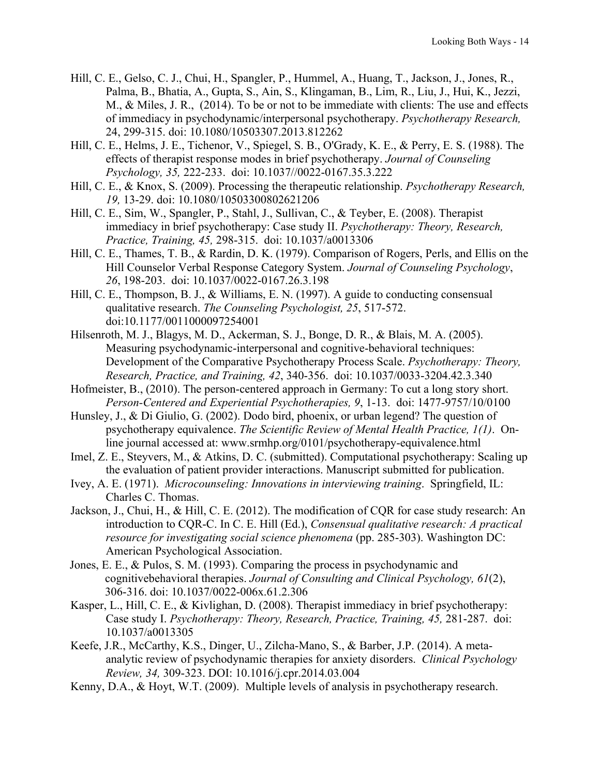- Hill, C. E., Gelso, C. J., Chui, H., Spangler, P., Hummel, A., Huang, T., Jackson, J., Jones, R., Palma, B., Bhatia, A., Gupta, S., Ain, S., Klingaman, B., Lim, R., Liu, J., Hui, K., Jezzi, M., & Miles, J. R., (2014). To be or not to be immediate with clients: The use and effects of immediacy in psychodynamic/interpersonal psychotherapy. *Psychotherapy Research,* 24, 299-315. doi: 10.1080/10503307.2013.812262
- Hill, C. E., Helms, J. E., Tichenor, V., Spiegel, S. B., O'Grady, K. E., & Perry, E. S. (1988). The effects of therapist response modes in brief psychotherapy. *Journal of Counseling Psychology, 35,* 222-233. doi: 10.1037//0022-0167.35.3.222
- Hill, C. E., & Knox, S. (2009). Processing the therapeutic relationship. *Psychotherapy Research, 19,* 13-29. doi: 10.1080/10503300802621206
- Hill, C. E., Sim, W., Spangler, P., Stahl, J., Sullivan, C., & Teyber, E. (2008). Therapist immediacy in brief psychotherapy: Case study II. *Psychotherapy: Theory, Research, Practice, Training, 45,* 298-315. doi: 10.1037/a0013306
- Hill, C. E., Thames, T. B., & Rardin, D. K. (1979). Comparison of Rogers, Perls, and Ellis on the Hill Counselor Verbal Response Category System. *Journal of Counseling Psychology*, *26*, 198-203. doi: 10.1037/0022-0167.26.3.198
- Hill, C. E., Thompson, B. J., & Williams, E. N. (1997). A guide to conducting consensual qualitative research. *The Counseling Psychologist, 25*, 517-572. doi:10.1177/0011000097254001
- Hilsenroth, M. J., Blagys, M. D., Ackerman, S. J., Bonge, D. R., & Blais, M. A. (2005). Measuring psychodynamic-interpersonal and cognitive-behavioral techniques: Development of the Comparative Psychotherapy Process Scale. *Psychotherapy: Theory, Research, Practice, and Training, 42*, 340-356. doi: 10.1037/0033-3204.42.3.340
- Hofmeister, B., (2010). The person-centered approach in Germany: To cut a long story short. *Person-Centered and Experiential Psychotherapies, 9*, 1-13. doi: 1477-9757/10/0100
- Hunsley, J., & Di Giulio, G. (2002). Dodo bird, phoenix, or urban legend? The question of psychotherapy equivalence. *The Scientific Review of Mental Health Practice, 1(1)*. Online journal accessed at: www.srmhp.org/0101/psychotherapy-equivalence.html
- Imel, Z. E., Steyvers, M., & Atkins, D. C. (submitted). Computational psychotherapy: Scaling up the evaluation of patient provider interactions. Manuscript submitted for publication.
- Ivey, A. E. (1971). *Microcounseling: Innovations in interviewing training*. Springfield, IL: Charles C. Thomas.
- Jackson, J., Chui, H., & Hill, C. E. (2012). The modification of CQR for case study research: An introduction to CQR-C. In C. E. Hill (Ed.), *Consensual qualitative research: A practical resource for investigating social science phenomena* (pp. 285-303). Washington DC: American Psychological Association.
- Jones, E. E., & Pulos, S. M. (1993). Comparing the process in psychodynamic and cognitivebehavioral therapies. *Journal of Consulting and Clinical Psychology, 61*(2), 306-316. doi: 10.1037/0022-006x.61.2.306
- Kasper, L., Hill, C. E., & Kivlighan, D. (2008). Therapist immediacy in brief psychotherapy: Case study I. *Psychotherapy: Theory, Research, Practice, Training, 45,* 281-287. doi: 10.1037/a0013305
- Keefe, J.R., McCarthy, K.S., Dinger, U., Zilcha-Mano, S., & Barber, J.P. (2014). A metaanalytic review of psychodynamic therapies for anxiety disorders. *Clinical Psychology Review, 34,* 309-323. DOI: 10.1016/j.cpr.2014.03.004
- Kenny, D.A., & Hoyt, W.T. (2009). Multiple levels of analysis in psychotherapy research.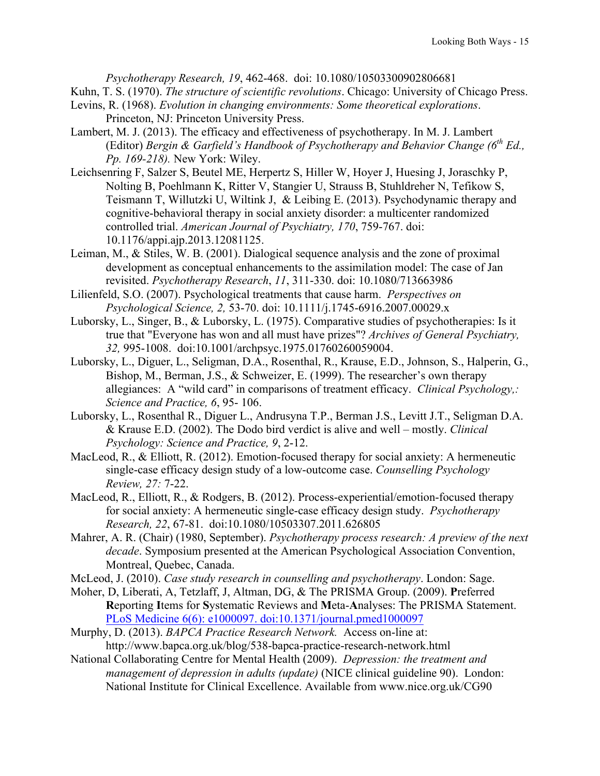*Psychotherapy Research, 19*, 462-468. doi: 10.1080/10503300902806681 Kuhn, T. S. (1970). *The structure of scientific revolutions*. Chicago: University of Chicago Press.

- Levins, R. (1968). *Evolution in changing environments: Some theoretical explorations*. Princeton, NJ: Princeton University Press.
- Lambert, M. J. (2013). The efficacy and effectiveness of psychotherapy. In M. J. Lambert (Editor) *Bergin & Garfield's Handbook of Psychotherapy and Behavior Change (6th Ed., Pp. 169-218).* New York: Wiley.
- Leichsenring F, Salzer S, Beutel ME, Herpertz S, Hiller W, Hoyer J, Huesing J, Joraschky P, Nolting B, Poehlmann K, Ritter V, Stangier U, Strauss B, Stuhldreher N, Tefikow S, Teismann T, Willutzki U, Wiltink J, & Leibing E. (2013). Psychodynamic therapy and cognitive-behavioral therapy in social anxiety disorder: a multicenter randomized controlled trial. *American Journal of Psychiatry, 170*, 759-767. doi: 10.1176/appi.ajp.2013.12081125.
- Leiman, M., & Stiles, W. B. (2001). Dialogical sequence analysis and the zone of proximal development as conceptual enhancements to the assimilation model: The case of Jan revisited. *Psychotherapy Research*, *11*, 311-330. doi: 10.1080/713663986
- Lilienfeld, S.O. (2007). Psychological treatments that cause harm. *Perspectives on Psychological Science, 2,* 53-70. doi: 10.1111/j.1745-6916.2007.00029.x
- Luborsky, L., Singer, B., & Luborsky, L. (1975). Comparative studies of psychotherapies: Is it true that "Everyone has won and all must have prizes"? *Archives of General Psychiatry, 32,* 995-1008. doi:10.1001/archpsyc.1975.01760260059004.
- Luborsky, L., Diguer, L., Seligman, D.A., Rosenthal, R., Krause, E.D., Johnson, S., Halperin, G., Bishop, M., Berman, J.S., & Schweizer, E. (1999). The researcher's own therapy allegiances: A "wild card" in comparisons of treatment efficacy. *Clinical Psychology,: Science and Practice, 6*, 95- 106.
- Luborsky, L., Rosenthal R., Diguer L., Andrusyna T.P., Berman J.S., Levitt J.T., Seligman D.A. & Krause E.D. (2002). The Dodo bird verdict is alive and well – mostly. *Clinical Psychology: Science and Practice, 9*, 2-12.
- MacLeod, R., & Elliott, R. (2012). Emotion-focused therapy for social anxiety: A hermeneutic single-case efficacy design study of a low-outcome case. *Counselling Psychology Review, 27:* 7-22.
- MacLeod, R., Elliott, R., & Rodgers, B. (2012). Process-experiential/emotion-focused therapy for social anxiety: A hermeneutic single-case efficacy design study. *Psychotherapy Research, 22*, 67-81. doi:10.1080/10503307.2011.626805
- Mahrer, A. R. (Chair) (1980, September). *Psychotherapy process research: A preview of the next decade*. Symposium presented at the American Psychological Association Convention, Montreal, Quebec, Canada.
- McLeod, J. (2010). *Case study research in counselling and psychotherapy*. London: Sage.
- Moher, D, Liberati, A, Tetzlaff, J, Altman, DG, & The PRISMA Group. (2009). **P**referred **R**eporting **I**tems for **S**ystematic Reviews and **M**eta-**A**nalyses: The PRISMA Statement. PLoS Medicine 6(6): e1000097. doi:10.1371/journal.pmed1000097
- Murphy, D. (2013). *BAPCA Practice Research Network.* Access on-line at: http://www.bapca.org.uk/blog/538-bapca-practice-research-network.html
- National Collaborating Centre for Mental Health (2009). *Depression: the treatment and management of depression in adults (update)* (NICE clinical guideline 90). London: National Institute for Clinical Excellence. Available from www.nice.org.uk/CG90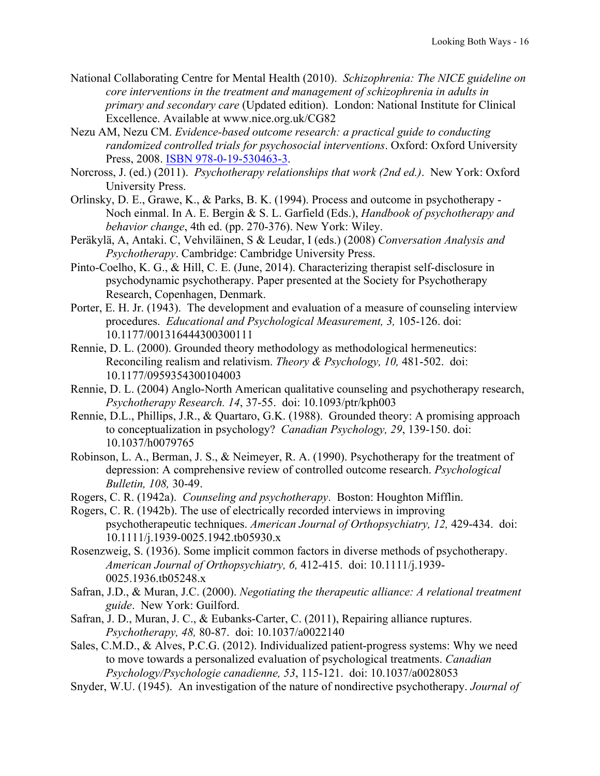- National Collaborating Centre for Mental Health (2010). *Schizophrenia: The NICE guideline on core interventions in the treatment and management of schizophrenia in adults in primary and secondary care* (Updated edition). London: National Institute for Clinical Excellence. Available at www.nice.org.uk/CG82
- Nezu AM, Nezu CM. *Evidence-based outcome research: a practical guide to conducting randomized controlled trials for psychosocial interventions*. Oxford: Oxford University Press, 2008. ISBN 978-0-19-530463-3.
- Norcross, J. (ed.) (2011). *Psychotherapy relationships that work (2nd ed.)*. New York: Oxford University Press.
- Orlinsky, D. E., Grawe, K., & Parks, B. K. (1994). Process and outcome in psychotherapy Noch einmal. In A. E. Bergin & S. L. Garfield (Eds.), *Handbook of psychotherapy and behavior change*, 4th ed. (pp. 270-376). New York: Wiley.
- Peräkylä, A, Antaki. C, Vehviläinen, S & Leudar, I (eds.) (2008) *Conversation Analysis and Psychotherapy*. Cambridge: Cambridge University Press.
- Pinto-Coelho, K. G., & Hill, C. E. (June, 2014). Characterizing therapist self-disclosure in psychodynamic psychotherapy. Paper presented at the Society for Psychotherapy Research, Copenhagen, Denmark.
- Porter, E. H. Jr. (1943). The development and evaluation of a measure of counseling interview procedures. *Educational and Psychological Measurement, 3,* 105-126. doi: 10.1177/001316444300300111
- Rennie, D. L. (2000). Grounded theory methodology as methodological hermeneutics: Reconciling realism and relativism. *Theory & Psychology, 10,* 481-502. doi: 10.1177/0959354300104003
- Rennie, D. L. (2004) Anglo-North American qualitative counseling and psychotherapy research, *Psychotherapy Research. 14*, 37-55. doi: 10.1093/ptr/kph003
- Rennie, D.L., Phillips, J.R., & Quartaro, G.K. (1988). Grounded theory: A promising approach to conceptualization in psychology? *Canadian Psychology, 29*, 139-150. doi: 10.1037/h0079765
- Robinson, L. A., Berman, J. S., & Neimeyer, R. A. (1990). Psychotherapy for the treatment of depression: A comprehensive review of controlled outcome research. *Psychological Bulletin, 108,* 30-49.
- Rogers, C. R. (1942a). *Counseling and psychotherapy*. Boston: Houghton Mifflin.
- Rogers, C. R. (1942b). The use of electrically recorded interviews in improving psychotherapeutic techniques. *American Journal of Orthopsychiatry, 12,* 429-434. doi: 10.1111/j.1939-0025.1942.tb05930.x
- Rosenzweig, S. (1936). Some implicit common factors in diverse methods of psychotherapy. *American Journal of Orthopsychiatry, 6,* 412-415. doi: 10.1111/j.1939- 0025.1936.tb05248.x
- Safran, J.D., & Muran, J.C. (2000). *Negotiating the therapeutic alliance: A relational treatment guide*. New York: Guilford.
- Safran, J. D., Muran, J. C., & Eubanks-Carter, C. (2011), Repairing alliance ruptures. *Psychotherapy, 48,* 80-87. doi: 10.1037/a0022140
- Sales, C.M.D., & Alves, P.C.G. (2012). Individualized patient-progress systems: Why we need to move towards a personalized evaluation of psychological treatments. *Canadian Psychology/Psychologie canadienne, 53*, 115-121. doi: 10.1037/a0028053
- Snyder, W.U. (1945). An investigation of the nature of nondirective psychotherapy. *Journal of*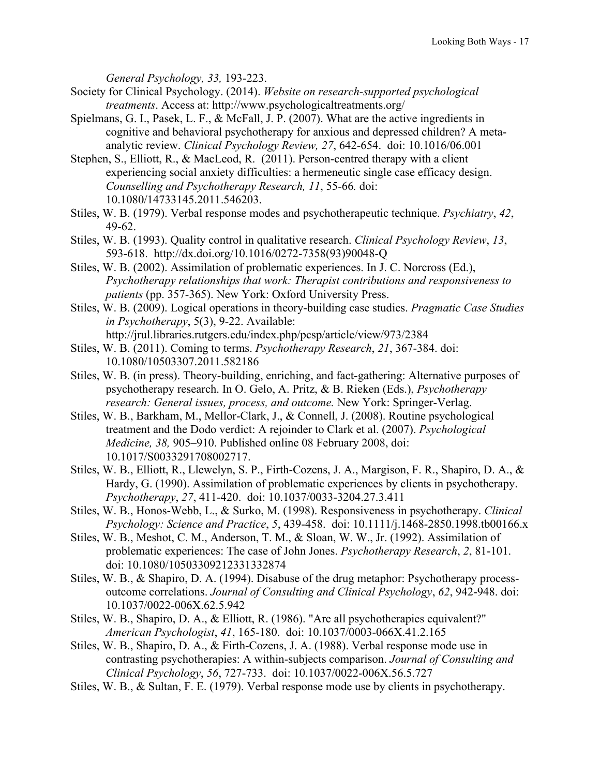*General Psychology, 33,* 193-223.

- Society for Clinical Psychology. (2014). *Website on research-supported psychological treatments*. Access at: http://www.psychologicaltreatments.org/
- Spielmans, G. I., Pasek, L. F., & McFall, J. P. (2007). What are the active ingredients in cognitive and behavioral psychotherapy for anxious and depressed children? A metaanalytic review. *Clinical Psychology Review, 27*, 642-654. doi: 10.1016/06.001
- Stephen, S., Elliott, R., & MacLeod, R. (2011). Person-centred therapy with a client experiencing social anxiety difficulties: a hermeneutic single case efficacy design. *Counselling and Psychotherapy Research, 11*, 55-66*.* doi: 10.1080/14733145.2011.546203.
- Stiles, W. B. (1979). Verbal response modes and psychotherapeutic technique. *Psychiatry*, *42*, 49-62.
- Stiles, W. B. (1993). Quality control in qualitative research. *Clinical Psychology Review*, *13*, 593-618. http://dx.doi.org/10.1016/0272-7358(93)90048-Q
- Stiles, W. B. (2002). Assimilation of problematic experiences. In J. C. Norcross (Ed.), *Psychotherapy relationships that work: Therapist contributions and responsiveness to patients* (pp. 357-365). New York: Oxford University Press.
- Stiles, W. B. (2009). Logical operations in theory-building case studies. *Pragmatic Case Studies in Psychotherapy*, 5(3), 9-22. Available:
- http://jrul.libraries.rutgers.edu/index.php/pcsp/article/view/973/2384 Stiles, W. B. (2011). Coming to terms. *Psychotherapy Research*, *21*, 367-384. doi: 10.1080/10503307.2011.582186
- Stiles, W. B. (in press). Theory-building, enriching, and fact-gathering: Alternative purposes of psychotherapy research. In O. Gelo, A. Pritz, & B. Rieken (Eds.), *Psychotherapy research: General issues, process, and outcome.* New York: Springer-Verlag.
- Stiles, W. B., Barkham, M., Mellor-Clark, J., & Connell, J. (2008). Routine psychological treatment and the Dodo verdict: A rejoinder to Clark et al. (2007). *Psychological Medicine, 38,* 905–910. Published online 08 February 2008, doi: 10.1017/S0033291708002717.
- Stiles, W. B., Elliott, R., Llewelyn, S. P., Firth-Cozens, J. A., Margison, F. R., Shapiro, D. A., & Hardy, G. (1990). Assimilation of problematic experiences by clients in psychotherapy. *Psychotherapy*, *27*, 411-420. doi: 10.1037/0033-3204.27.3.411
- Stiles, W. B., Honos-Webb, L., & Surko, M. (1998). Responsiveness in psychotherapy. *Clinical Psychology: Science and Practice*, *5*, 439-458. doi: 10.1111/j.1468-2850.1998.tb00166.x
- Stiles, W. B., Meshot, C. M., Anderson, T. M., & Sloan, W. W., Jr. (1992). Assimilation of problematic experiences: The case of John Jones. *Psychotherapy Research*, *2*, 81-101. doi: 10.1080/10503309212331332874
- Stiles, W. B., & Shapiro, D. A. (1994). Disabuse of the drug metaphor: Psychotherapy processoutcome correlations. *Journal of Consulting and Clinical Psychology*, *62*, 942-948. doi: 10.1037/0022-006X.62.5.942
- Stiles, W. B., Shapiro, D. A., & Elliott, R. (1986). "Are all psychotherapies equivalent?" *American Psychologist*, *41*, 165-180. doi: 10.1037/0003-066X.41.2.165
- Stiles, W. B., Shapiro, D. A., & Firth-Cozens, J. A. (1988). Verbal response mode use in contrasting psychotherapies: A within-subjects comparison. *Journal of Consulting and Clinical Psychology*, *56*, 727-733. doi: 10.1037/0022-006X.56.5.727
- Stiles, W. B., & Sultan, F. E. (1979). Verbal response mode use by clients in psychotherapy.